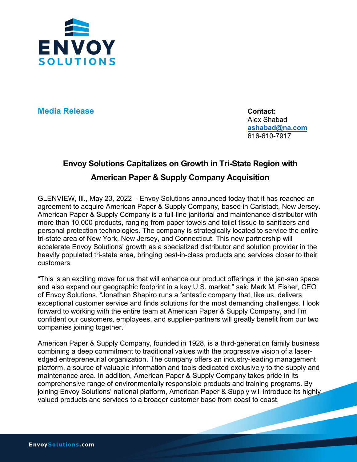

**Media Release Contact:** 

Alex Shabad **[ashabad@na.com](mailto:ashabad@na.com)** 616-610-7917

## **Envoy Solutions Capitalizes on Growth in Tri-State Region with American Paper & Supply Company Acquisition**

GLENVIEW, Ill., May 23, 2022 – Envoy Solutions announced today that it has reached an agreement to acquire American Paper & Supply Company, based in Carlstadt, New Jersey. American Paper & Supply Company is a full-line janitorial and maintenance distributor with more than 10,000 products, ranging from paper towels and toilet tissue to sanitizers and personal protection technologies. The company is strategically located to service the entire tri-state area of New York, New Jersey, and Connecticut. This new partnership will accelerate Envoy Solutions' growth as a specialized distributor and solution provider in the heavily populated tri-state area, bringing best-in-class products and services closer to their customers.

"This is an exciting move for us that will enhance our product offerings in the jan-san space and also expand our geographic footprint in a key U.S. market," said Mark M. Fisher, CEO of Envoy Solutions. "Jonathan Shapiro runs a fantastic company that, like us, delivers exceptional customer service and finds solutions for the most demanding challenges. I look forward to working with the entire team at American Paper & Supply Company, and I'm confident our customers, employees, and supplier-partners will greatly benefit from our two companies joining together."

American Paper & Supply Company, founded in 1928, is a third-generation family business combining a deep commitment to traditional values with the progressive vision of a laseredged entrepreneurial organization. The company offers an industry-leading management platform, a source of valuable information and tools dedicated exclusively to the supply and maintenance area. In addition, American Paper & Supply Company takes pride in its comprehensive range of environmentally responsible products and training programs. By joining Envoy Solutions' national platform, American Paper & Supply will introduce its highly valued products and services to a broader customer base from coast to coast.